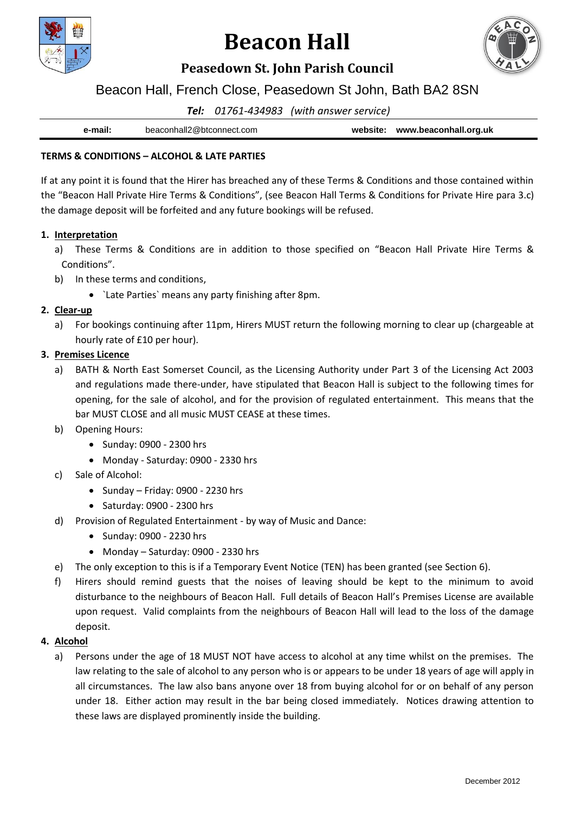

# **Beacon Hall**



## **Peasedown St. John Parish Council**

# Beacon Hall, French Close, Peasedown St John, Bath BA2 8SN

### *Tel: 01761-434983 (with answer service)*

| e-mail: | beaconhall2@btconnect.com | website: www.beaconhall.org.uk |
|---------|---------------------------|--------------------------------|
|         |                           |                                |

#### **TERMS & CONDITIONS – ALCOHOL & LATE PARTIES**

If at any point it is found that the Hirer has breached any of these Terms & Conditions and those contained within the "Beacon Hall Private Hire Terms & Conditions", (see Beacon Hall Terms & Conditions for Private Hire para 3.c) the damage deposit will be forfeited and any future bookings will be refused.

#### **1. Interpretation**

- a) These Terms & Conditions are in addition to those specified on "Beacon Hall Private Hire Terms & Conditions".
- b) In these terms and conditions,
	- `Late Parties` means any party finishing after 8pm.

#### **2. Clear-up**

a) For bookings continuing after 11pm, Hirers MUST return the following morning to clear up (chargeable at hourly rate of £10 per hour).

#### **3. Premises Licence**

- a) BATH & North East Somerset Council, as the Licensing Authority under Part 3 of the Licensing Act 2003 and regulations made there-under, have stipulated that Beacon Hall is subject to the following times for opening, for the sale of alcohol, and for the provision of regulated entertainment. This means that the bar MUST CLOSE and all music MUST CEASE at these times.
- b) Opening Hours:
	- Sunday: 0900 2300 hrs
	- Monday Saturday: 0900 2330 hrs
- c) Sale of Alcohol:
	- $\bullet$  Sunday Friday: 0900 2230 hrs
	- Saturday: 0900 2300 hrs
- d) Provision of Regulated Entertainment by way of Music and Dance:
	- Sunday: 0900 2230 hrs
	- Monday Saturday: 0900 2330 hrs
- e) The only exception to this is if a Temporary Event Notice (TEN) has been granted (see Section [6\)](#page-1-0).
- f) Hirers should remind guests that the noises of leaving should be kept to the minimum to avoid disturbance to the neighbours of Beacon Hall. Full details of Beacon Hall's Premises License are available upon request. Valid complaints from the neighbours of Beacon Hall will lead to the loss of the damage deposit.

#### **4. Alcohol**

a) Persons under the age of 18 MUST NOT have access to alcohol at any time whilst on the premises. The law relating to the sale of alcohol to any person who is or appears to be under 18 years of age will apply in all circumstances. The law also bans anyone over 18 from buying alcohol for or on behalf of any person under 18. Either action may result in the bar being closed immediately. Notices drawing attention to these laws are displayed prominently inside the building.